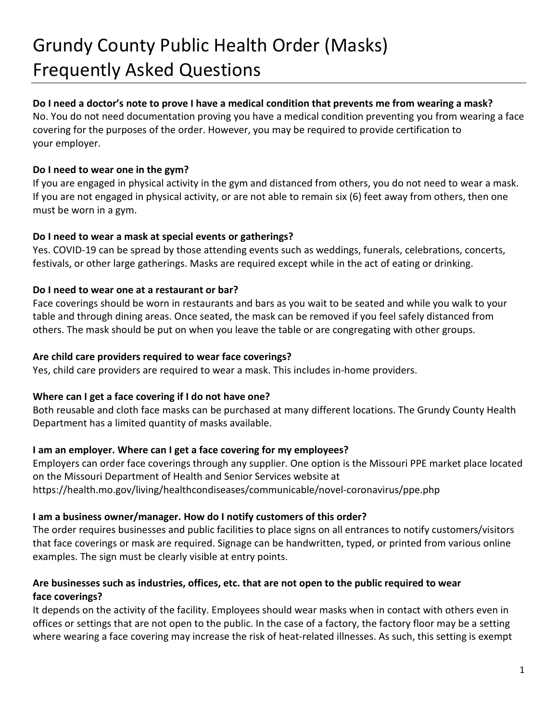# Grundy County Public Health Order (Masks) Frequently Asked Questions

# **Do I need a doctor's note to prove I have a medical condition that prevents me from wearing a mask?**

No. You do not need documentation proving you have a medical condition preventing you from wearing a face covering for the purposes of the order. However, you may be required to provide certification to your employer.

# **Do I need to wear one in the gym?**

If you are engaged in physical activity in the gym and distanced from others, you do not need to wear a mask. If you are not engaged in physical activity, or are not able to remain six (6) feet away from others, then one must be worn in a gym.

# **Do I need to wear a mask at special events or gatherings?**

Yes. COVID-19 can be spread by those attending events such as weddings, funerals, celebrations, concerts, festivals, or other large gatherings. Masks are required except while in the act of eating or drinking.

# **Do I need to wear one at a restaurant or bar?**

Face coverings should be worn in restaurants and bars as you wait to be seated and while you walk to your table and through dining areas. Once seated, the mask can be removed if you feel safely distanced from others. The mask should be put on when you leave the table or are congregating with other groups.

#### **Are child care providers required to wear face coverings?**

Yes, child care providers are required to wear a mask. This includes in-home providers.

#### **Where can I get a face covering if I do not have one?**

Both reusable and cloth face masks can be purchased at many different locations. The Grundy County Health Department has a limited quantity of masks available.

# **I am an employer. Where can I get a face covering for my employees?**

Employers can order face coverings through any supplier. One option is the Missouri PPE market place located on the Missouri Department of Health and Senior Services website at https://health.mo.gov/living/healthcondiseases/communicable/novel-coronavirus/ppe.php

#### **I am a business owner/manager. How do I notify customers of this order?**

The order requires businesses and public facilities to place signs on all entrances to notify customers/visitors that face coverings or mask are required. Signage can be handwritten, typed, or printed from various online examples. The sign must be clearly visible at entry points.

# **Are businesses such as industries, offices, etc. that are not open to the public required to wear face coverings?**

It depends on the activity of the facility. Employees should wear masks when in contact with others even in offices or settings that are not open to the public. In the case of a factory, the factory floor may be a setting where wearing a face covering may increase the risk of heat-related illnesses. As such, this setting is exempt